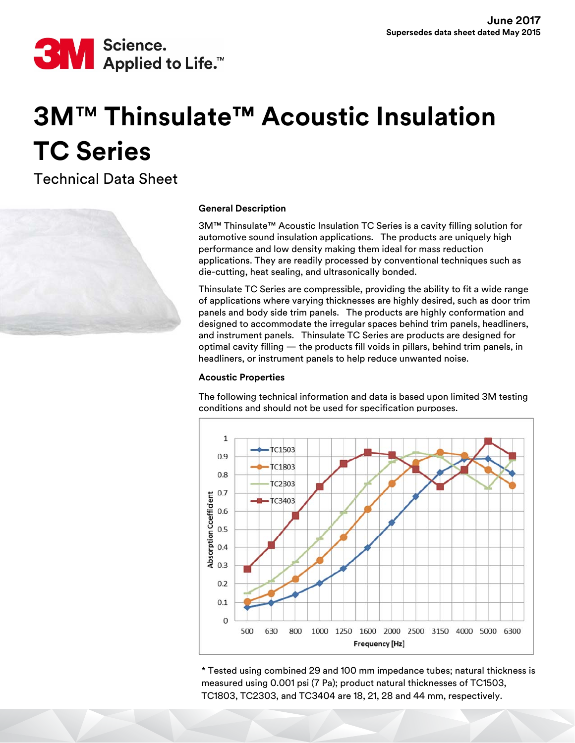

# **3M**™ **Thinsulate™ Acoustic Insulation TC Series**

Technical Data Sheet



## **General Description**

3M™ Thinsulate™ Acoustic Insulation TC Series is a cavity filling solution for automotive sound insulation applications. The products are uniquely high performance and low density making them ideal for mass reduction applications. They are readily processed by conventional techniques such as die-cutting, heat sealing, and ultrasonically bonded.

Thinsulate TC Series are compressible, providing the ability to fit a wide range of applications where varying thicknesses are highly desired, such as door trim panels and body side trim panels. The products are highly conformation and designed to accommodate the irregular spaces behind trim panels, headliners, and instrument panels. Thinsulate TC Series are products are designed for optimal cavity filling — the products fill voids in pillars, behind trim panels, in headliners, or instrument panels to help reduce unwanted noise.

## **Acoustic Properties**

The following technical information and data is based upon limited 3M testing conditions and should not be used for specification purposes.



\* Tested using combined 29 and 100 mm impedance tubes; natural thickness is measured using 0.001 psi (7 Pa); product natural thicknesses of TC1503, TC1803, TC2303, and TC3404 are 18, 21, 28 and 44 mm, respectively.